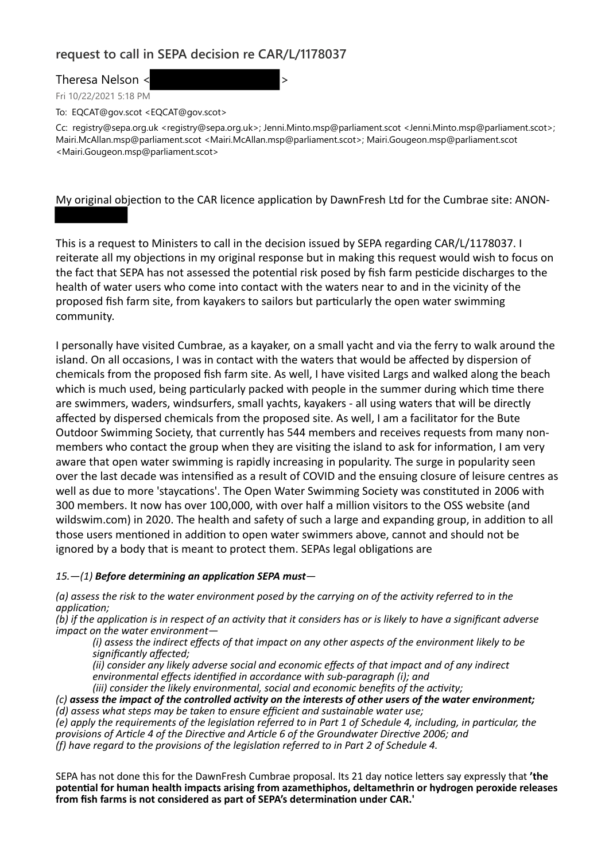## **request to call in SEPA decision re CAR/L/1178037**

Theresa Nelson <  $\sim$ 

Fri 10/22/2021 5:18 PM

To: EQCAT@gov.scot <EQCAT@gov.scot>

Cc: registry@sepa.org.uk <registry@sepa.org.uk>; Jenni.Minto.msp@parliament.scot <Jenni.Minto.msp@parliament.scot>; Mairi.McAllan.msp@parliament.scot <Mairi.McAllan.msp@parliament.scot>; Mairi.Gougeon.msp@parliament.scot <Mairi.Gougeon.msp@parliament.scot>

My original objection to the CAR licence application by DawnFresh Ltd for the Cumbrae site: ANON-

This is a request to Ministers to call in the decision issued by SEPA regarding CAR/L/1178037. I reiterate all my objections in my original response but in making this request would wish to focus on the fact that SEPA has not assessed the potential risk posed by fish farm pesticide discharges to the health of water users who come into contact with the waters near to and in the vicinity of the proposed fish farm site, from kayakers to sailors but particularly the open water swimming community.

I personally have visited Cumbrae, as a kayaker, on a small yacht and via the ferry to walk around the island. On all occasions, I was in contact with the waters that would be affected by dispersion of chemicals from the proposed fish farm site. As well, I have visited Largs and walked along the beach which is much used, being particularly packed with people in the summer during which time there are swimmers, waders, windsurfers, small yachts, kayakers - all using waters that will be directly affected by dispersed chemicals from the proposed site. As well, I am a facilitator for the Bute Outdoor Swimming Society, that currently has 544 members and receives requests from many nonmembers who contact the group when they are visiting the island to ask for information, I am very aware that open water swimming is rapidly increasing in popularity. The surge in popularity seen over the last decade was intensified as a result of COVID and the ensuing closure of leisure centres as well as due to more 'staycations'. The Open Water Swimming Society was constituted in 2006 with 300 members. It now has over 100,000, with over half a million visitors to the OSS website (and wildswim.com) in 2020. The health and safety of such a large and expanding group, in addition to all those users mentioned in addition to open water swimmers above, cannot and should not be ignored by a body that is meant to protect them. SEPAs legal obligations are

## *15.—(1) Before determining an application SEPA must—*

*(a) assess the risk to the water environment posed by the carrying on of the activity referred to in the application;*

*(b) if the application is in respect of an activity that it considers has or is likely to have a significant adverse impact on the water environment—*

*(i) assess the indirect effects of that impact on any other aspects of the environment likely to be significantly affected;*

*(ii) consider any likely adverse social and economic effects of that impact and of any indirect environmental effects identified in accordance with sub-paragraph (i); and*

*(iii) consider the likely environmental, social and economic benefits of the activity;*

*(c) assess the impact of the controlled activity on the interests of other users of the water environment; (d) assess what steps may be taken to ensure efficient and sustainable water use;*

*(e) apply the requirements of the legislation referred to in Part 1 of Schedule 4, including, in particular, the provisions of Article 4 of the Directive and Article 6 of the Groundwater Directive 2006; and (f) have regard to the provisions of the legislation referred to in Part 2 of Schedule 4.*

SEPA has not done this for the DawnFresh Cumbrae proposal. Its 21 day notice letters say expressly that **'the potential for human health impacts arising from azamethiphos, deltamethrin or hydrogen peroxide releases from fish farms is not considered as part of SEPA's determination under CAR.'**